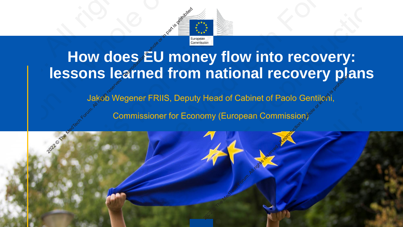

# **How does EU money flow into recovery: lessons learned from national recovery plans** Commissioner for Economy (European Commissioner Forum. All rights reserved and the Media of Cabinet of Paolo Geometric Commissioner for Economy (European Commissioner Space)

Jakob Wegener FRIIS, Deputy Head of Cabinet of Paolo Gentiloni,

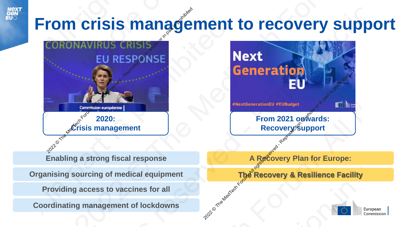# **From crisis management to recovery support**

![](_page_1_Figure_1.jpeg)

![](_page_1_Figure_2.jpeg)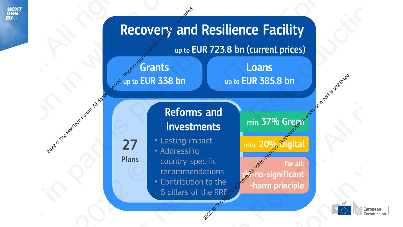![](_page_2_Picture_0.jpeg)

![](_page_2_Figure_1.jpeg)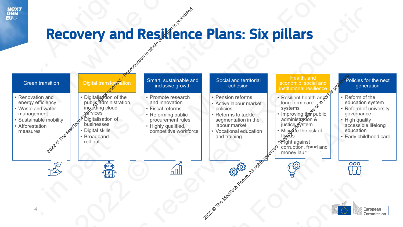![](_page_3_Picture_0.jpeg)

## Recovery and Resilience Plans: Six pillars

![](_page_3_Figure_2.jpeg)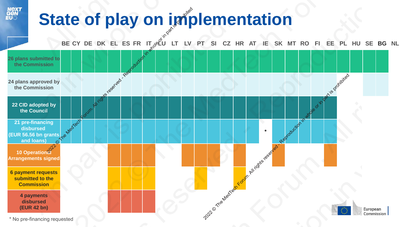# **State of play on implementation**

![](_page_4_Figure_1.jpeg)